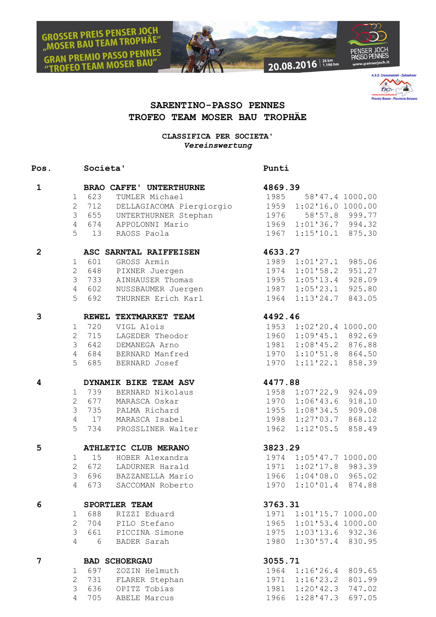**GROSSER PREIS PENSER JOCH**<br>"MOSER BAU TEAM TROPHÄE" N PREMIO PASSO PENNES **FREMIO FASSO : EDIT**<br>EO TEAM MOSER BAU'





## **SARENTINO-PASSO PENNES TROFEO TEAM MOSER BAU TROPHÄE**

**CLASSIFICA PER SOCIETA'** *Vereinswertung*

## **Pos. Societa' Punti**

| $\mathbf{1}$            | <b>BRAO CAFFE' UNTERTHURNE</b>      |                                                                                                                                                                                                                                 | 4869.39 |                        |        |
|-------------------------|-------------------------------------|---------------------------------------------------------------------------------------------------------------------------------------------------------------------------------------------------------------------------------|---------|------------------------|--------|
|                         | 1 623                               | TUMLER Michael                                                                                                                                                                                                                  |         | 1985 58'47.4 1000.00   |        |
|                         |                                     | 1 623 TOMLER MICHAEL 1985 58'47.4 1000.00<br>2 712 DELLAGIACOMA Piergiorgio 1959 1:02'16.0 1000.00                                                                                                                              |         |                        |        |
|                         |                                     | 3 655 UNTERTHURNER Stephan 1976                                                                                                                                                                                                 |         | 58'57.8 999.77         |        |
|                         |                                     |                                                                                                                                                                                                                                 |         | 1969 1:01'36.7 994.32  |        |
|                         |                                     | 4 674 APPOLONNI Mario<br>5 13 RAOSS Paola                                                                                                                                                                                       |         | 1967 1:15'10.1 875.30  |        |
| $\overline{2}$          | ASC SARNTAL RAIFFEISEN 4633.27      |                                                                                                                                                                                                                                 |         |                        |        |
|                         | 1                                   |                                                                                                                                                                                                                                 |         |                        |        |
|                         | $\overline{2}$                      |                                                                                                                                                                                                                                 |         |                        |        |
|                         | $\mathcal{S}$                       |                                                                                                                                                                                                                                 |         |                        |        |
|                         |                                     | 4 602 NUSSBAUMER Juergen                                                                                                                                                                                                        |         |                        |        |
|                         | 5                                   | 601 GROSS Armin 1989 1:01'27.1 985.06<br>648 PIXNER Juergen 1974 1:01'58.2 951.27<br>733 AINHAUSER Thomas 1995 1:05'13.4 928.09<br>602 NUSSBAUMER Juergen 1987 1:05'23.1 925.80<br>692 THURNER Erich Karl 1964 1:13'24.7 843.05 |         |                        |        |
| 3                       |                                     | REWEL TEXTMARKET TEAM                                                                                                                                                                                                           | 4492.46 |                        |        |
|                         | 1 720                               | VIGL Alois                                                                                                                                                                                                                      |         | 1953 1:02'20.4 1000.00 |        |
|                         | $2^{\circ}$<br>715                  | LAGEDER Theodor                                                                                                                                                                                                                 |         | 1960 1:09'45.1 892.69  |        |
|                         | 3 <sup>7</sup>                      | 642 DEMANEGA Arno                                                                                                                                                                                                               |         | 1981 1:08'45.2 876.88  |        |
|                         |                                     | 4 684 BERNARD Manfred                                                                                                                                                                                                           |         | 1970 1:10'51.8 864.50  |        |
|                         |                                     | 5 685 BERNARD Josef                                                                                                                                                                                                             |         | 1970 1:11'22.1 858.39  |        |
| $\overline{\mathbf{4}}$ | DYNAMIK BIKE TEAM ASV 4477.88       |                                                                                                                                                                                                                                 |         |                        |        |
|                         | 1 739                               | BERNARD Nikolaus                                                                                                                                                                                                                |         | 1958 1:07'22.9 924.09  |        |
|                         |                                     | 2 677 MARASCA Oskar                                                                                                                                                                                                             |         | 1970 1:06'43.6 918.10  |        |
|                         |                                     | 3 735 PALMA Richard                                                                                                                                                                                                             |         | 1955 1:08'34.5 909.08  |        |
|                         |                                     | 4 17 MARASCA Isabel                                                                                                                                                                                                             |         | 1998 1:27'03.7 868.12  |        |
|                         |                                     | 5 734 PROSSLINER Walter                                                                                                                                                                                                         |         | 1962 1:12'05.5 858.49  |        |
| 5                       |                                     | ATHLETIC CLUB MERANO                                                                                                                                                                                                            | 3823.29 |                        |        |
|                         | 15<br>1                             | HOBER Alexandra                                                                                                                                                                                                                 |         | 1974 1:05'47.7 1000.00 |        |
|                         |                                     | 2 672 LADURNER Harald                                                                                                                                                                                                           |         | 1971 1:02'17.8 983.39  |        |
|                         |                                     | 3 696 BAZZANELLA Mario                                                                                                                                                                                                          |         | 1966 1:04'08.0 965.02  |        |
|                         | $\overline{4}$                      | 673 SACCOMAN Roberto                                                                                                                                                                                                            |         | 1970 1:10'01.4 874.88  |        |
| 6                       | JEURILER TEAM<br>1 688 RIZZI Eduard |                                                                                                                                                                                                                                 | 3763.31 |                        |        |
|                         |                                     |                                                                                                                                                                                                                                 |         | 1971 1:01'15.7 1000.00 |        |
|                         | $\overline{2}$<br>704               | PILO Stefano                                                                                                                                                                                                                    | 1965    | 1:01'53.4 1000.00      |        |
|                         | $\mathfrak{Z}$<br>661               | PICCINA Simone                                                                                                                                                                                                                  | 1975    | 1:03'13.6              | 932.36 |
|                         | 4<br>6                              | BADER Sarah                                                                                                                                                                                                                     | 1980    | 1:30'57.4              | 830.95 |
| 7                       | <b>BAD SCHOERGAU</b>                |                                                                                                                                                                                                                                 | 3055.71 |                        |        |
|                         | 697<br>1                            | ZOZIN Helmuth                                                                                                                                                                                                                   | 1964    | 1:16'26.4              | 809.65 |
|                         | $\overline{2}$<br>731               | FLARER Stephan                                                                                                                                                                                                                  |         | 1971 1:16'23.2         | 801.99 |

3 636 OPITZ Tobias 1981 1:20'42.3 747.02 4 705 ABELE Marcus 1966 1:28'47.3 697.05